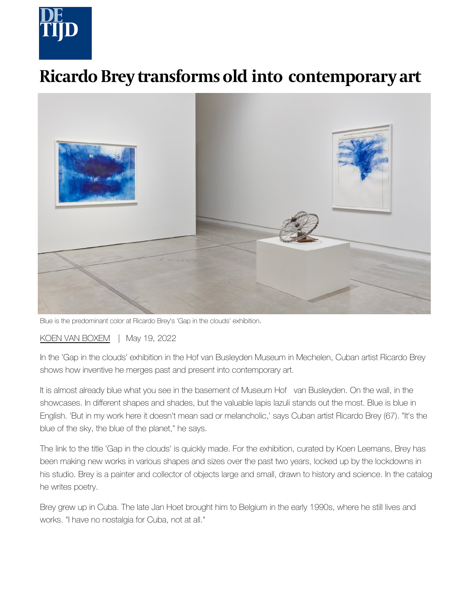

## **Ricardo Brey transforms old into contemporary art**



Blue is the predominant color at Ricardo Brey's 'Gap in the clouds' exhibition.

[KOEN VAN BOXEM](https://www.tijd.be/auteur/Koen-van-Boxem.1756.html) | May 19, 2022

In the 'Gap in the clouds' exhibition in the Hof van Busleyden Museum in Mechelen, Cuban artist Ricardo Brey shows how inventive he merges past and present into contemporary art.

It is almost already blue what you see in the basement of Museum Hof van Busleyden. On the wall, in the showcases. In different shapes and shades, but the valuable lapis lazuli stands out the most. Blue is blue in English. 'But in my work here it doesn't mean sad or melancholic,' says Cuban artist Ricardo Brey (67). "It's the blue of the sky, the blue of the planet," he says.

The link to the title 'Gap in the clouds' is quickly made. For the exhibition, curated by Koen Leemans, Brey has been making new works in various shapes and sizes over the past two years, locked up by the lockdowns in his studio. Brey is a painter and collector of objects large and small, drawn to history and science. In the catalog he writes poetry.

Brey grew up in Cuba. The late Jan Hoet brought him to Belgium in the early 1990s, where he still lives and works. "I have no nostalgia for Cuba, not at all."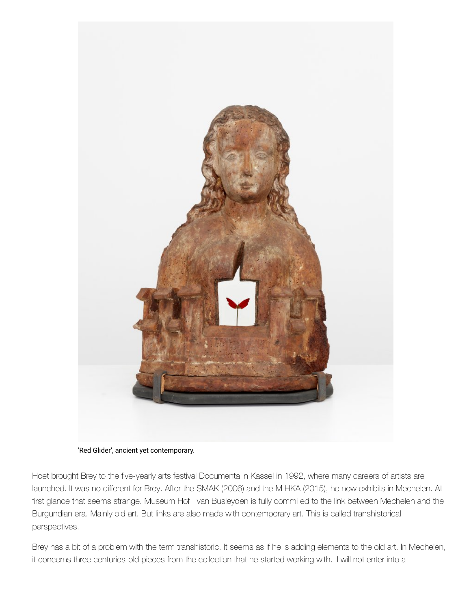



Hoet brought Brey to the five-yearly arts festival Documenta in Kassel in 1992, where many careers of artists are launched. It was no different for Brey. After the SMAK (2006) and the M HKA (2015), he now exhibits in Mechelen. At first glance that seems strange. Museum Hof van Busleyden is fully commi ed to the link between Mechelen and the Burgundian era. Mainly old art. But links are also made with contemporary art. This is called transhistorical perspectives.

Brey has a bit of a problem with the term transhistoric. It seems as if he is adding elements to the old art. In Mechelen, it concerns three centuries-old pieces from the collection that he started working with. 'I will not enter into a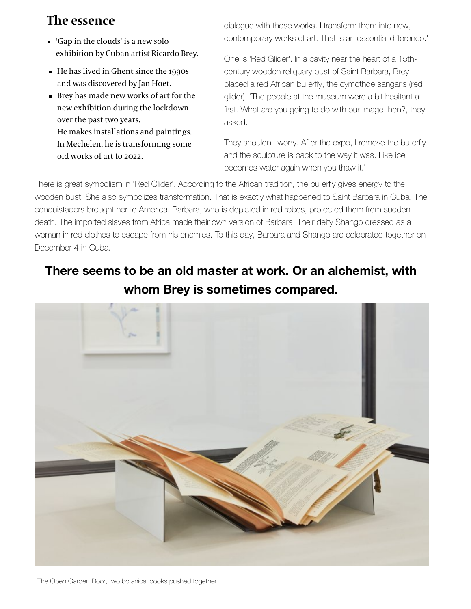## **The essence**

- 'Gap in the clouds' is a new solo exhibition by Cuban artist Ricardo Brey.
- He has lived in Ghent since the 1990s and was discovered by Jan Hoet.
- Brey has made new works of art for the new exhibition during the lockdown over the past two years. He makes installations and paintings. In Mechelen, he is transforming some old works of art to 2022.

dialogue with those works. I transform them into new, contemporary works of art. That is an essential difference.'

One is 'Red Glider'. In a cavity near the heart of a 15thcentury wooden reliquary bust of Saint Barbara, Brey placed a red African bu erfly, the cymothoe sangaris (red glider). 'The people at the museum were a bit hesitant at first. What are you going to do with our image then?, they asked.

They shouldn't worry. After the expo, I remove the bu erfly and the sculpture is back to the way it was. Like ice becomes water again when you thaw it.'

There is great symbolism in 'Red Glider'. According to the African tradition, the bu erfly gives energy to the wooden bust. She also symbolizes transformation. That is exactly what happened to Saint Barbara in Cuba. The conquistadors brought her to America. Barbara, who is depicted in red robes, protected them from sudden death. The imported slaves from Africa made their own version of Barbara. Their deity Shango dressed as a woman in red clothes to escape from his enemies. To this day, Barbara and Shango are celebrated together on December 4 in Cuba.

## **There seems to be an old master at work. Or an alchemist, with whom Brey is sometimes compared.**



The Open Garden Door, two botanical books pushed together.